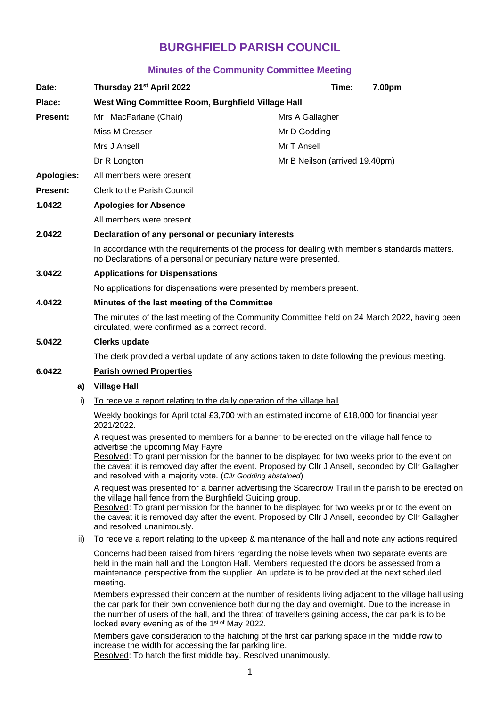# **BURGHFIELD PARISH COUNCIL**

## **Minutes of the Community Committee Meeting**

| Date:           | Thursday 21 <sup>st</sup> April 2022                                                                                                                                 | Time:                          |  | 7.00pm |
|-----------------|----------------------------------------------------------------------------------------------------------------------------------------------------------------------|--------------------------------|--|--------|
| Place:          | West Wing Committee Room, Burghfield Village Hall                                                                                                                    |                                |  |        |
| <b>Present:</b> | Mr I MacFarlane (Chair)                                                                                                                                              | Mrs A Gallagher                |  |        |
|                 | Miss M Cresser                                                                                                                                                       | Mr D Godding                   |  |        |
|                 | Mrs J Ansell                                                                                                                                                         | Mr T Ansell                    |  |        |
|                 | Dr R Longton                                                                                                                                                         | Mr B Neilson (arrived 19.40pm) |  |        |
| Apologies:      | All members were present                                                                                                                                             |                                |  |        |
| <b>Present:</b> | Clerk to the Parish Council                                                                                                                                          |                                |  |        |
| 1.0422          | <b>Apologies for Absence</b>                                                                                                                                         |                                |  |        |
|                 | All members were present.                                                                                                                                            |                                |  |        |
| 2.0422          | Declaration of any personal or pecuniary interests                                                                                                                   |                                |  |        |
|                 | In accordance with the requirements of the process for dealing with member's standards matters.<br>no Declarations of a personal or pecuniary nature were presented. |                                |  |        |
| 3.0422          | <b>Applications for Dispensations</b>                                                                                                                                |                                |  |        |
|                 | No applications for dispensations were presented by members present.                                                                                                 |                                |  |        |
| 4.0422          | Minutes of the last meeting of the Committee                                                                                                                         |                                |  |        |
|                 | The minutes of the last meeting of the Community Committee held on 24 March 2022, having been<br>circulated, were confirmed as a correct record.                     |                                |  |        |
| 5.0422          | <b>Clerks update</b>                                                                                                                                                 |                                |  |        |
|                 | The clerk provided a verbal update of any actions taken to date following the previous meeting.                                                                      |                                |  |        |
| 6.0422          | <b>Parish owned Properties</b>                                                                                                                                       |                                |  |        |

## **a) Village Hall**

i) To receive a report relating to the daily operation of the village hall

Weekly bookings for April total £3,700 with an estimated income of £18,000 for financial year 2021/2022.

A request was presented to members for a banner to be erected on the village hall fence to advertise the upcoming May Fayre

Resolved: To grant permission for the banner to be displayed for two weeks prior to the event on the caveat it is removed day after the event. Proposed by Cllr J Ansell, seconded by Cllr Gallagher and resolved with a majority vote. (*Cllr Godding abstained*)

A request was presented for a banner advertising the Scarecrow Trail in the parish to be erected on the village hall fence from the Burghfield Guiding group.

Resolved: To grant permission for the banner to be displayed for two weeks prior to the event on the caveat it is removed day after the event. Proposed by Cllr J Ansell, seconded by Cllr Gallagher and resolved unanimously.

ii) To receive a report relating to the upkeep & maintenance of the hall and note any actions required

Concerns had been raised from hirers regarding the noise levels when two separate events are held in the main hall and the Longton Hall. Members requested the doors be assessed from a maintenance perspective from the supplier. An update is to be provided at the next scheduled meeting.

Members expressed their concern at the number of residents living adjacent to the village hall using the car park for their own convenience both during the day and overnight. Due to the increase in the number of users of the hall, and the threat of travellers gaining access, the car park is to be locked every evening as of the  $1<sup>st of</sup>$  May 2022.

Members gave consideration to the hatching of the first car parking space in the middle row to increase the width for accessing the far parking line.

Resolved: To hatch the first middle bay. Resolved unanimously.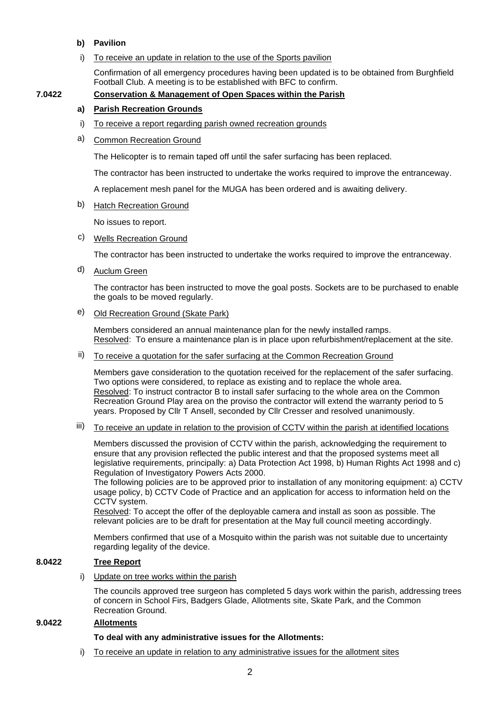## **b) Pavilion**

i) To receive an update in relation to the use of the Sports pavilion

Confirmation of all emergency procedures having been updated is to be obtained from Burghfield Football Club. A meeting is to be established with BFC to confirm.

## **7.0422 Conservation & Management of Open Spaces within the Parish**

## **a) Parish Recreation Grounds**

- i) To receive a report regarding parish owned recreation grounds
- a) Common Recreation Ground

The Helicopter is to remain taped off until the safer surfacing has been replaced.

The contractor has been instructed to undertake the works required to improve the entranceway.

A replacement mesh panel for the MUGA has been ordered and is awaiting delivery.

b) Hatch Recreation Ground

No issues to report.

c) Wells Recreation Ground

The contractor has been instructed to undertake the works required to improve the entranceway.

d) Auclum Green

The contractor has been instructed to move the goal posts. Sockets are to be purchased to enable the goals to be moved regularly.

#### e) Old Recreation Ground (Skate Park)

Members considered an annual maintenance plan for the newly installed ramps. Resolved: To ensure a maintenance plan is in place upon refurbishment/replacement at the site.

ii) To receive a quotation for the safer surfacing at the Common Recreation Ground

Members gave consideration to the quotation received for the replacement of the safer surfacing. Two options were considered, to replace as existing and to replace the whole area. Resolved: To instruct contractor B to install safer surfacing to the whole area on the Common Recreation Ground Play area on the proviso the contractor will extend the warranty period to 5 years. Proposed by Cllr T Ansell, seconded by Cllr Cresser and resolved unanimously.

iii) To receive an update in relation to the provision of CCTV within the parish at identified locations

Members discussed the provision of CCTV within the parish, acknowledging the requirement to ensure that any provision reflected the public interest and that the proposed systems meet all legislative requirements, principally: a) Data Protection Act 1998, b) Human Rights Act 1998 and c) Regulation of Investigatory Powers Acts 2000.

The following policies are to be approved prior to installation of any monitoring equipment: a) CCTV usage policy, b) CCTV Code of Practice and an application for access to information held on the CCTV system.

Resolved: To accept the offer of the deployable camera and install as soon as possible. The relevant policies are to be draft for presentation at the May full council meeting accordingly.

Members confirmed that use of a Mosquito within the parish was not suitable due to uncertainty regarding legality of the device.

## **8.0422 Tree Report**

i) Update on tree works within the parish

The councils approved tree surgeon has completed 5 days work within the parish, addressing trees of concern in School Firs, Badgers Glade, Allotments site, Skate Park, and the Common Recreation Ground.

## **9.0422 Allotments**

#### **To deal with any administrative issues for the Allotments:**

i) To receive an update in relation to any administrative issues for the allotment sites